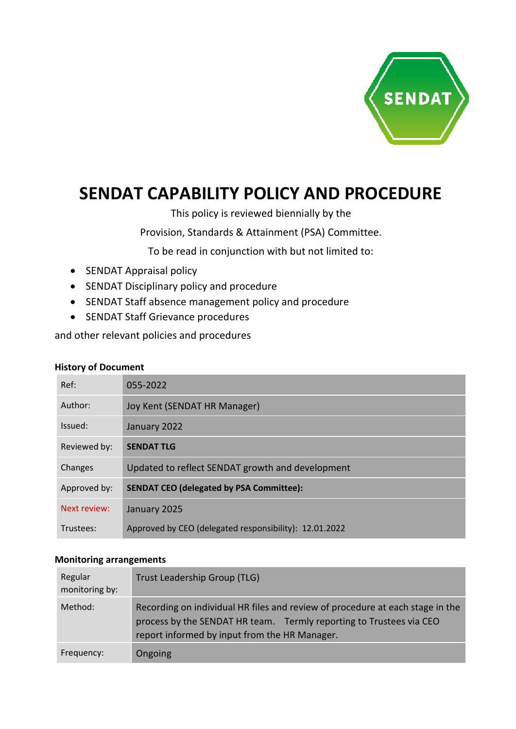

# **SENDAT CAPABILITY POLICY AND PROCEDURE**

This policy is reviewed biennially by the

Provision, Standards & Attainment (PSA) Committee.

To be read in conjunction with but not limited to:

- SENDAT Appraisal policy
- SENDAT Disciplinary policy and procedure
- SENDAT Staff absence management policy and procedure
- SENDAT Staff Grievance procedures

and other relevant policies and procedures

#### **History of Document**

| Ref:         | 055-2022                                               |
|--------------|--------------------------------------------------------|
|              |                                                        |
| Author:      | Joy Kent (SENDAT HR Manager)                           |
| Issued:      | January 2022                                           |
| Reviewed by: | <b>SENDAT TLG</b>                                      |
| Changes      | Updated to reflect SENDAT growth and development       |
| Approved by: | <b>SENDAT CEO (delegated by PSA Committee):</b>        |
| Next review: | January 2025                                           |
| Trustees:    | Approved by CEO (delegated responsibility): 12.01.2022 |

#### **Monitoring arrangements**

| Regular<br>monitoring by: | Trust Leadership Group (TLG)                                                                                                                                                                          |
|---------------------------|-------------------------------------------------------------------------------------------------------------------------------------------------------------------------------------------------------|
| Method:                   | Recording on individual HR files and review of procedure at each stage in the<br>process by the SENDAT HR team. Termly reporting to Trustees via CEO<br>report informed by input from the HR Manager. |
| Frequency:                | Ongoing                                                                                                                                                                                               |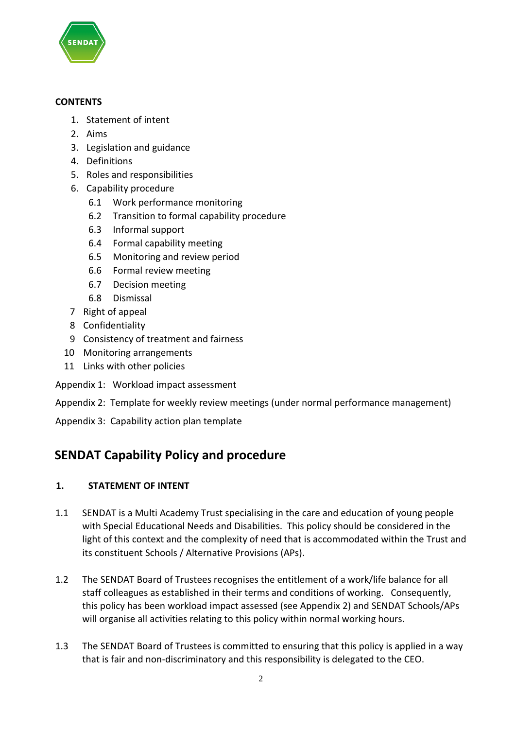

#### **CONTENTS**

- 1. Statement of intent
- 2. Aims
- 3. Legislation and guidance
- 4. Definitions
- 5. Roles and responsibilities
- 6. Capability procedure
	- 6.1 Work performance monitoring
	- 6.2 Transition to formal capability procedure
	- 6.3 Informal support
	- 6.4 Formal capability meeting
	- 6.5 Monitoring and review period
	- 6.6 Formal review meeting
	- 6.7 Decision meeting
	- 6.8 Dismissal
- 7 Right of appeal
- 8 Confidentiality
- 9 Consistency of treatment and fairness
- 10 Monitoring arrangements
- 11 Links with other policies
- Appendix 1: Workload impact assessment
- Appendix 2: Template for weekly review meetings (under normal performance management)
- Appendix 3: Capability action plan template

# **SENDAT Capability Policy and procedure**

# **1. STATEMENT OF INTENT**

- 1.1 SENDAT is a Multi Academy Trust specialising in the care and education of young people with Special Educational Needs and Disabilities. This policy should be considered in the light of this context and the complexity of need that is accommodated within the Trust and its constituent Schools / Alternative Provisions (APs).
- 1.2 The SENDAT Board of Trustees recognises the entitlement of a work/life balance for all staff colleagues as established in their terms and conditions of working. Consequently, this policy has been workload impact assessed (see Appendix 2) and SENDAT Schools/APs will organise all activities relating to this policy within normal working hours.
- 1.3 The SENDAT Board of Trustees is committed to ensuring that this policy is applied in a way that is fair and non-discriminatory and this responsibility is delegated to the CEO.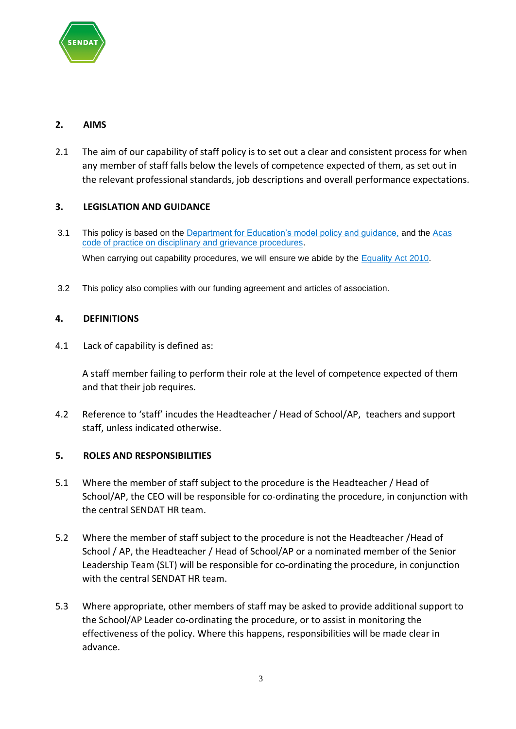

# **2. AIMS**

2.1 The aim of our capability of staff policy is to set out a clear and consistent process for when any member of staff falls below the levels of competence expected of them, as set out in the relevant professional standards, job descriptions and overall performance expectations.

#### **3. LEGISLATION AND GUIDANCE**

- 3.1 This policy is based on the [Department for Education's model policy and guidance,](https://www.gov.uk/government/publications/teacher-appraisal-and-capability-model-policy) and the [Acas](http://www.acas.org.uk/media/pdf/f/m/Acas-Code-of-Practice-1-on-disciplinary-and-grievance-procedures.pdf)  [code of practice on disciplinary and grievance procedures.](http://www.acas.org.uk/media/pdf/f/m/Acas-Code-of-Practice-1-on-disciplinary-and-grievance-procedures.pdf) When carrying out capability procedures, we will ensure we abide by the [Equality Act 2010.](http://www.legislation.gov.uk/ukpga/2010/15/contents?)
- 3.2 This policy also complies with our funding agreement and articles of association.

#### **4. DEFINITIONS**

4.1 Lack of capability is defined as:

A staff member failing to perform their role at the level of competence expected of them and that their job requires.

4.2 Reference to 'staff' incudes the Headteacher / Head of School/AP, teachers and support staff, unless indicated otherwise.

#### **5. ROLES AND RESPONSIBILITIES**

- 5.1 Where the member of staff subject to the procedure is the Headteacher / Head of School/AP, the CEO will be responsible for co-ordinating the procedure, in conjunction with the central SENDAT HR team.
- 5.2 Where the member of staff subject to the procedure is not the Headteacher /Head of School / AP, the Headteacher / Head of School/AP or a nominated member of the Senior Leadership Team (SLT) will be responsible for co-ordinating the procedure, in conjunction with the central SENDAT HR team.
- 5.3 Where appropriate, other members of staff may be asked to provide additional support to the School/AP Leader co-ordinating the procedure, or to assist in monitoring the effectiveness of the policy. Where this happens, responsibilities will be made clear in advance.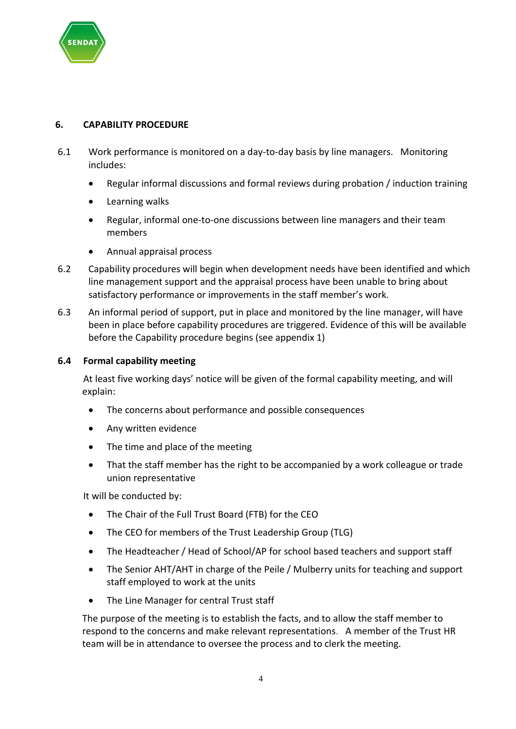

# **6. CAPABILITY PROCEDURE**

- 6.1 Work performance is monitored on a day-to-day basis by line managers. Monitoring includes:
	- Regular informal discussions and formal reviews during probation / induction training
	- Learning walks
	- Regular, informal one-to-one discussions between line managers and their team members
	- Annual appraisal process
- 6.2 Capability procedures will begin when development needs have been identified and which line management support and the appraisal process have been unable to bring about satisfactory performance or improvements in the staff member's work.
- 6.3 An informal period of support, put in place and monitored by the line manager, will have been in place before capability procedures are triggered. Evidence of this will be available before the Capability procedure begins (see appendix 1)

#### **6.4 Formal capability meeting**

At least five working days' notice will be given of the formal capability meeting, and will explain:

- The concerns about performance and possible consequences
- Any written evidence
- The time and place of the meeting
- That the staff member has the right to be accompanied by a work colleague or trade union representative

It will be conducted by:

- The Chair of the Full Trust Board (FTB) for the CEO
- The CEO for members of the Trust Leadership Group (TLG)
- The Headteacher / Head of School/AP for school based teachers and support staff
- The Senior AHT/AHT in charge of the Peile / Mulberry units for teaching and support staff employed to work at the units
- The Line Manager for central Trust staff

The purpose of the meeting is to establish the facts, and to allow the staff member to respond to the concerns and make relevant representations. A member of the Trust HR team will be in attendance to oversee the process and to clerk the meeting.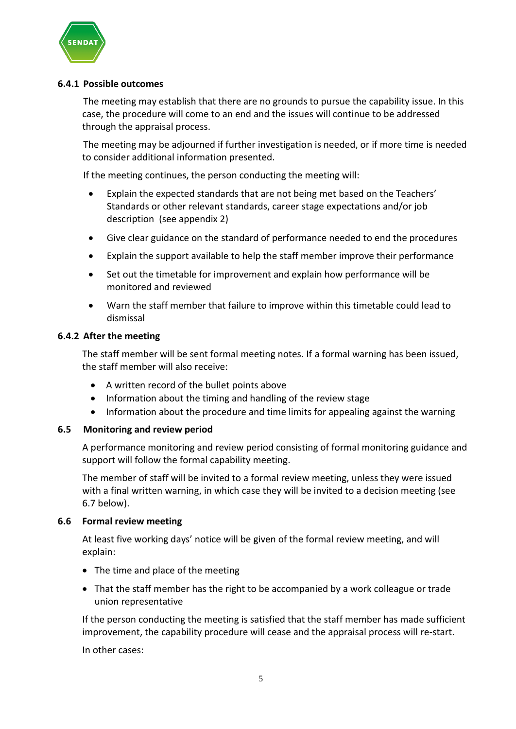

#### **6.4.1 Possible outcomes**

The meeting may establish that there are no grounds to pursue the capability issue. In this case, the procedure will come to an end and the issues will continue to be addressed through the appraisal process.

The meeting may be adjourned if further investigation is needed, or if more time is needed to consider additional information presented.

If the meeting continues, the person conducting the meeting will:

- Explain the expected standards that are not being met based on the Teachers' Standards or other relevant standards, career stage expectations and/or job description (see appendix 2)
- Give clear guidance on the standard of performance needed to end the procedures
- Explain the support available to help the staff member improve their performance
- Set out the timetable for improvement and explain how performance will be monitored and reviewed
- Warn the staff member that failure to improve within this timetable could lead to dismissal

#### **6.4.2 After the meeting**

The staff member will be sent formal meeting notes. If a formal warning has been issued, the staff member will also receive:

- A written record of the bullet points above
- Information about the timing and handling of the review stage
- Information about the procedure and time limits for appealing against the warning

#### **6.5 Monitoring and review period**

A performance monitoring and review period consisting of formal monitoring guidance and support will follow the formal capability meeting.

The member of staff will be invited to a formal review meeting, unless they were issued with a final written warning, in which case they will be invited to a decision meeting (see 6.7 below).

#### **6.6 Formal review meeting**

At least five working days' notice will be given of the formal review meeting, and will explain:

- The time and place of the meeting
- That the staff member has the right to be accompanied by a work colleague or trade union representative

If the person conducting the meeting is satisfied that the staff member has made sufficient improvement, the capability procedure will cease and the appraisal process will re-start.

In other cases: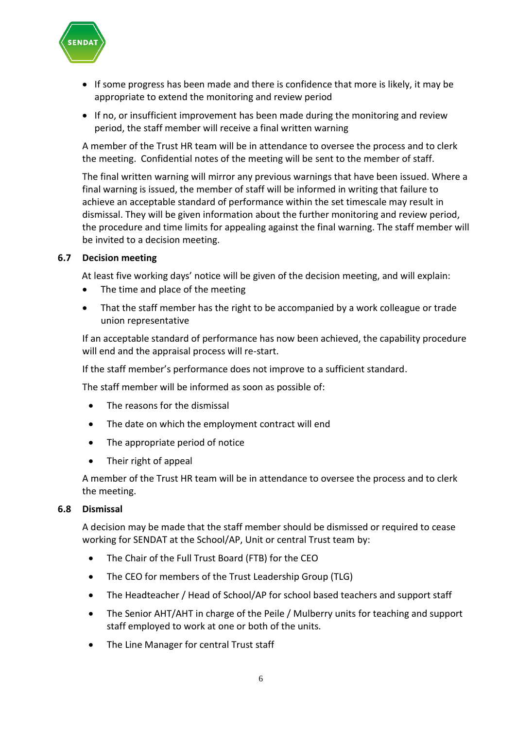

- If some progress has been made and there is confidence that more is likely, it may be appropriate to extend the monitoring and review period
- If no, or insufficient improvement has been made during the monitoring and review period, the staff member will receive a final written warning

A member of the Trust HR team will be in attendance to oversee the process and to clerk the meeting. Confidential notes of the meeting will be sent to the member of staff.

The final written warning will mirror any previous warnings that have been issued. Where a final warning is issued, the member of staff will be informed in writing that failure to achieve an acceptable standard of performance within the set timescale may result in dismissal. They will be given information about the further monitoring and review period, the procedure and time limits for appealing against the final warning. The staff member will be invited to a decision meeting.

#### **6.7 Decision meeting**

At least five working days' notice will be given of the decision meeting, and will explain:

- The time and place of the meeting
- That the staff member has the right to be accompanied by a work colleague or trade union representative

If an acceptable standard of performance has now been achieved, the capability procedure will end and the appraisal process will re-start.

If the staff member's performance does not improve to a sufficient standard.

The staff member will be informed as soon as possible of:

- The reasons for the dismissal
- The date on which the employment contract will end
- The appropriate period of notice
- Their right of appeal

A member of the Trust HR team will be in attendance to oversee the process and to clerk the meeting.

#### **6.8 Dismissal**

A decision may be made that the staff member should be dismissed or required to cease working for SENDAT at the School/AP, Unit or central Trust team by:

- The Chair of the Full Trust Board (FTB) for the CEO
- The CEO for members of the Trust Leadership Group (TLG)
- The Headteacher / Head of School/AP for school based teachers and support staff
- The Senior AHT/AHT in charge of the Peile / Mulberry units for teaching and support staff employed to work at one or both of the units.
- The Line Manager for central Trust staff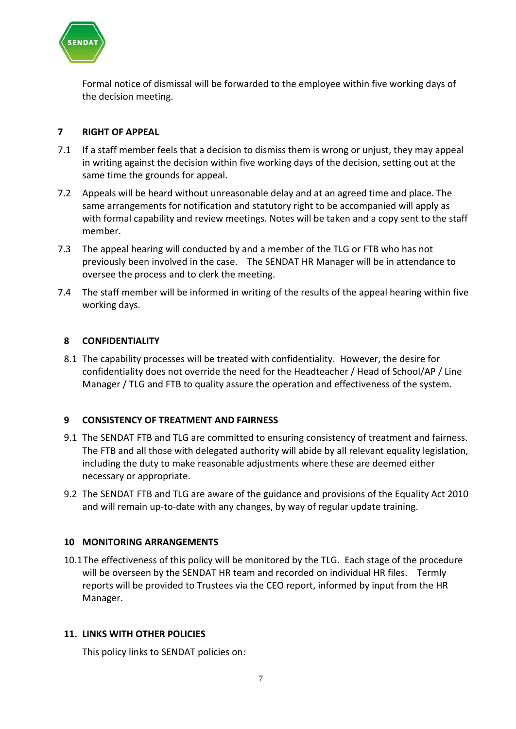

Formal notice of dismissal will be forwarded to the employee within five working days of the decision meeting.

#### **7 RIGHT OF APPEAL**

- 7.1 If a staff member feels that a decision to dismiss them is wrong or unjust, they may appeal in writing against the decision within five working days of the decision, setting out at the same time the grounds for appeal.
- 7.2 Appeals will be heard without unreasonable delay and at an agreed time and place. The same arrangements for notification and statutory right to be accompanied will apply as with formal capability and review meetings. Notes will be taken and a copy sent to the staff member.
- 7.3 The appeal hearing will conducted by and a member of the TLG or FTB who has not previously been involved in the case. The SENDAT HR Manager will be in attendance to oversee the process and to clerk the meeting.
- 7.4 The staff member will be informed in writing of the results of the appeal hearing within five working days.

#### **8 CONFIDENTIALITY**

8.1 The capability processes will be treated with confidentiality. However, the desire for confidentiality does not override the need for the Headteacher / Head of School/AP / Line Manager / TLG and FTB to quality assure the operation and effectiveness of the system.

#### **9 CONSISTENCY OF TREATMENT AND FAIRNESS**

- 9.1 The SENDAT FTB and TLG are committed to ensuring consistency of treatment and fairness. The FTB and all those with delegated authority will abide by all relevant equality legislation, including the duty to make reasonable adjustments where these are deemed either necessary or appropriate.
- 9.2 The SENDAT FTB and TLG are aware of the guidance and provisions of the Equality Act 2010 and will remain up-to-date with any changes, by way of regular update training.

#### **10 MONITORING ARRANGEMENTS**

10.1The effectiveness of this policy will be monitored by the TLG. Each stage of the procedure will be overseen by the SENDAT HR team and recorded on individual HR files. Termly reports will be provided to Trustees via the CEO report, informed by input from the HR Manager.

#### **11. LINKS WITH OTHER POLICIES**

This policy links to SENDAT policies on: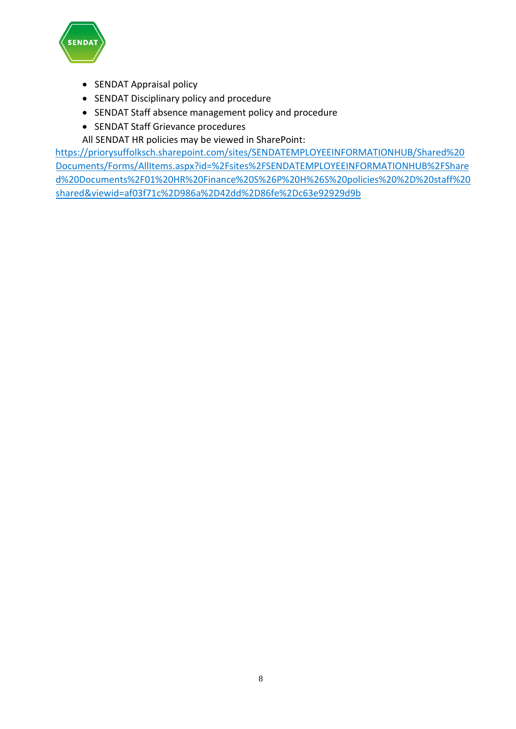

- SENDAT Appraisal policy
- SENDAT Disciplinary policy and procedure
- SENDAT Staff absence management policy and procedure
- SENDAT Staff Grievance procedures
- All SENDAT HR policies may be viewed in SharePoint:

[https://priorysuffolksch.sharepoint.com/sites/SENDATEMPLOYEEINFORMATIONHUB/Shared%20](https://priorysuffolksch.sharepoint.com/sites/SENDATEMPLOYEEINFORMATIONHUB/Shared%20Documents/Forms/AllItems.aspx?id=%2Fsites%2FSENDATEMPLOYEEINFORMATIONHUB%2FShared%20Documents%2F01%20HR%20Finance%20S%26P%20H%26S%20policies%20%2D%20staff%20shared&viewid=af03f71c%2D986a%2D42dd%2D86fe%2Dc63e92929d9b) [Documents/Forms/AllItems.aspx?id=%2Fsites%2FSENDATEMPLOYEEINFORMATIONHUB%2FShare](https://priorysuffolksch.sharepoint.com/sites/SENDATEMPLOYEEINFORMATIONHUB/Shared%20Documents/Forms/AllItems.aspx?id=%2Fsites%2FSENDATEMPLOYEEINFORMATIONHUB%2FShared%20Documents%2F01%20HR%20Finance%20S%26P%20H%26S%20policies%20%2D%20staff%20shared&viewid=af03f71c%2D986a%2D42dd%2D86fe%2Dc63e92929d9b) [d%20Documents%2F01%20HR%20Finance%20S%26P%20H%26S%20policies%20%2D%20staff%20](https://priorysuffolksch.sharepoint.com/sites/SENDATEMPLOYEEINFORMATIONHUB/Shared%20Documents/Forms/AllItems.aspx?id=%2Fsites%2FSENDATEMPLOYEEINFORMATIONHUB%2FShared%20Documents%2F01%20HR%20Finance%20S%26P%20H%26S%20policies%20%2D%20staff%20shared&viewid=af03f71c%2D986a%2D42dd%2D86fe%2Dc63e92929d9b) [shared&viewid=af03f71c%2D986a%2D42dd%2D86fe%2Dc63e92929d9b](https://priorysuffolksch.sharepoint.com/sites/SENDATEMPLOYEEINFORMATIONHUB/Shared%20Documents/Forms/AllItems.aspx?id=%2Fsites%2FSENDATEMPLOYEEINFORMATIONHUB%2FShared%20Documents%2F01%20HR%20Finance%20S%26P%20H%26S%20policies%20%2D%20staff%20shared&viewid=af03f71c%2D986a%2D42dd%2D86fe%2Dc63e92929d9b)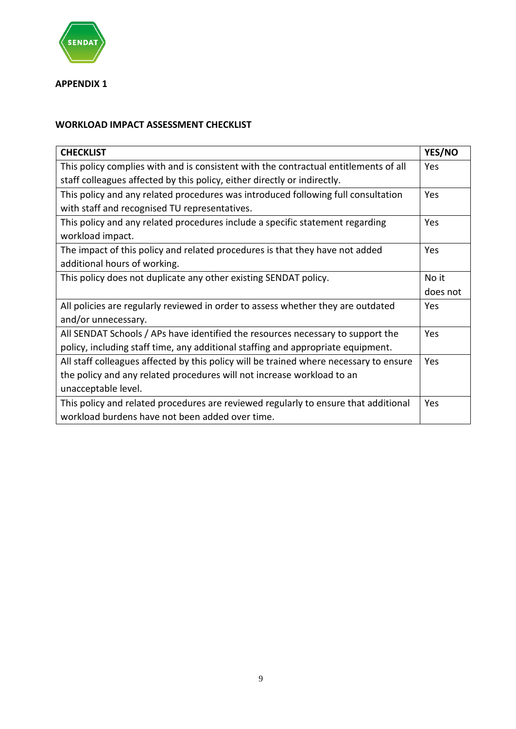

**APPENDIX 1**

# **WORKLOAD IMPACT ASSESSMENT CHECKLIST**

| <b>CHECKLIST</b>                                                                       | YES/NO   |
|----------------------------------------------------------------------------------------|----------|
| This policy complies with and is consistent with the contractual entitlements of all   | Yes      |
| staff colleagues affected by this policy, either directly or indirectly.               |          |
| This policy and any related procedures was introduced following full consultation      | Yes      |
| with staff and recognised TU representatives.                                          |          |
| This policy and any related procedures include a specific statement regarding          | Yes      |
| workload impact.                                                                       |          |
| The impact of this policy and related procedures is that they have not added           | Yes      |
| additional hours of working.                                                           |          |
| This policy does not duplicate any other existing SENDAT policy.                       | No it    |
|                                                                                        | does not |
| All policies are regularly reviewed in order to assess whether they are outdated       | Yes      |
| and/or unnecessary.                                                                    |          |
| All SENDAT Schools / APs have identified the resources necessary to support the        | Yes      |
| policy, including staff time, any additional staffing and appropriate equipment.       |          |
| All staff colleagues affected by this policy will be trained where necessary to ensure | Yes      |
| the policy and any related procedures will not increase workload to an                 |          |
| unacceptable level.                                                                    |          |
| This policy and related procedures are reviewed regularly to ensure that additional    | Yes      |
| workload burdens have not been added over time.                                        |          |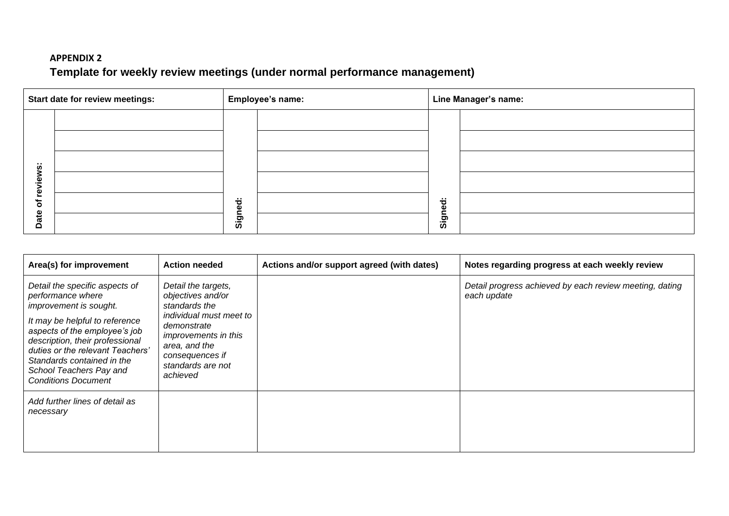# **APPENDIX 2 Template for weekly review meetings (under normal performance management)**

|             | <b>Start date for review meetings:</b> | <b>Employee's name:</b> |  | Line Manager's name:      |  |
|-------------|----------------------------------------|-------------------------|--|---------------------------|--|
|             |                                        |                         |  |                           |  |
|             |                                        |                         |  |                           |  |
|             |                                        |                         |  |                           |  |
| iews:<br>စ္ |                                        |                         |  |                           |  |
| ৳           |                                        | $\ddot{\sigma}$<br>ω    |  | $\ddot{\phantom{a}}$<br>ω |  |
| Date        |                                        | Sign                    |  | Sign                      |  |

| Area(s) for improvement                                                                                                                                                                                                                                                                                        | <b>Action needed</b>                                                                                                                                                                                    | Actions and/or support agreed (with dates) | Notes regarding progress at each weekly review                         |
|----------------------------------------------------------------------------------------------------------------------------------------------------------------------------------------------------------------------------------------------------------------------------------------------------------------|---------------------------------------------------------------------------------------------------------------------------------------------------------------------------------------------------------|--------------------------------------------|------------------------------------------------------------------------|
| Detail the specific aspects of<br>performance where<br>improvement is sought.<br>It may be helpful to reference<br>aspects of the employee's job<br>description, their professional<br>duties or the relevant Teachers'<br>Standards contained in the<br>School Teachers Pay and<br><b>Conditions Document</b> | Detail the targets,<br>objectives and/or<br>standards the<br>individual must meet to<br>demonstrate<br><i>improvements in this</i><br>area, and the<br>consequences if<br>standards are not<br>achieved |                                            | Detail progress achieved by each review meeting, dating<br>each update |
| Add further lines of detail as<br>necessary                                                                                                                                                                                                                                                                    |                                                                                                                                                                                                         |                                            |                                                                        |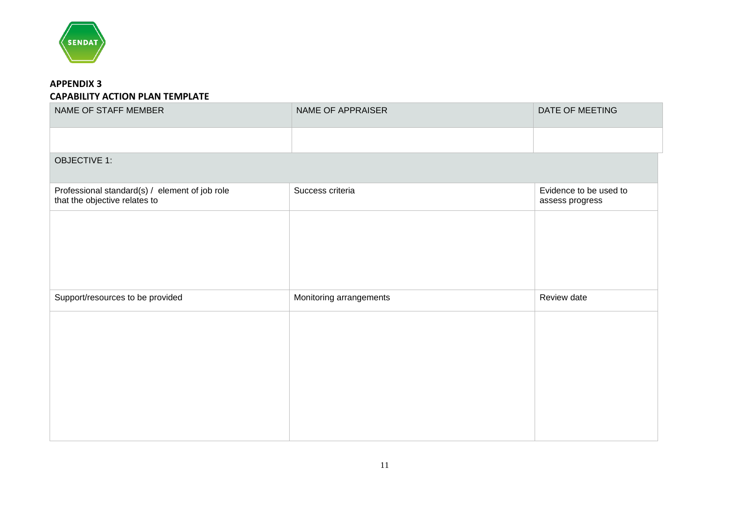

#### **APPENDIX 3 CAPABILITY ACTION PLAN TEMPLATE**

| NAME OF STAFF MEMBER                                                            | <b>NAME OF APPRAISER</b> | DATE OF MEETING                           |
|---------------------------------------------------------------------------------|--------------------------|-------------------------------------------|
|                                                                                 |                          |                                           |
| <b>OBJECTIVE 1:</b>                                                             |                          |                                           |
| Professional standard(s) / element of job role<br>that the objective relates to | Success criteria         | Evidence to be used to<br>assess progress |
|                                                                                 |                          |                                           |
|                                                                                 |                          |                                           |
|                                                                                 |                          |                                           |
| Support/resources to be provided                                                | Monitoring arrangements  | Review date                               |
|                                                                                 |                          |                                           |
|                                                                                 |                          |                                           |
|                                                                                 |                          |                                           |
|                                                                                 |                          |                                           |
|                                                                                 |                          |                                           |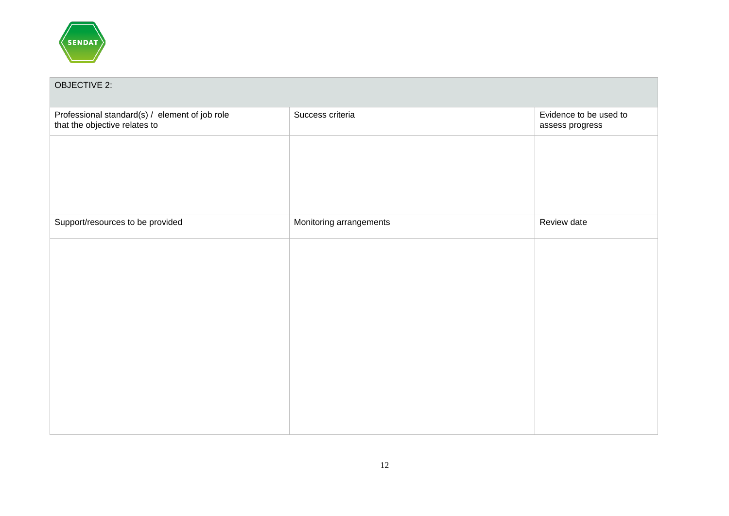

| <b>OBJECTIVE 2:</b>                                                             |                         |                                           |
|---------------------------------------------------------------------------------|-------------------------|-------------------------------------------|
| Professional standard(s) / element of job role<br>that the objective relates to | Success criteria        | Evidence to be used to<br>assess progress |
|                                                                                 |                         |                                           |
|                                                                                 |                         |                                           |
|                                                                                 |                         |                                           |
| Support/resources to be provided                                                | Monitoring arrangements | Review date                               |
|                                                                                 |                         |                                           |
|                                                                                 |                         |                                           |
|                                                                                 |                         |                                           |
|                                                                                 |                         |                                           |
|                                                                                 |                         |                                           |
|                                                                                 |                         |                                           |
|                                                                                 |                         |                                           |
|                                                                                 |                         |                                           |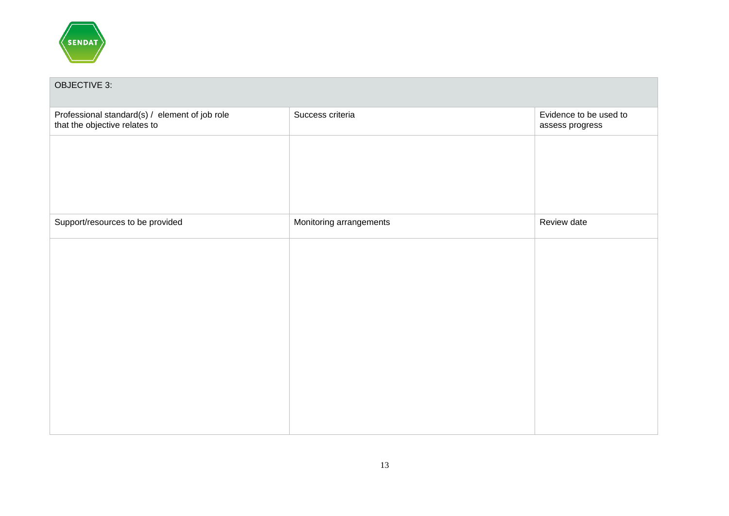

| <b>OBJECTIVE 3:</b>                                                             |                         |                                           |
|---------------------------------------------------------------------------------|-------------------------|-------------------------------------------|
| Professional standard(s) / element of job role<br>that the objective relates to | Success criteria        | Evidence to be used to<br>assess progress |
|                                                                                 |                         |                                           |
|                                                                                 |                         |                                           |
|                                                                                 |                         |                                           |
| Support/resources to be provided                                                | Monitoring arrangements | Review date                               |
|                                                                                 |                         |                                           |
|                                                                                 |                         |                                           |
|                                                                                 |                         |                                           |
|                                                                                 |                         |                                           |
|                                                                                 |                         |                                           |
|                                                                                 |                         |                                           |
|                                                                                 |                         |                                           |
|                                                                                 |                         |                                           |